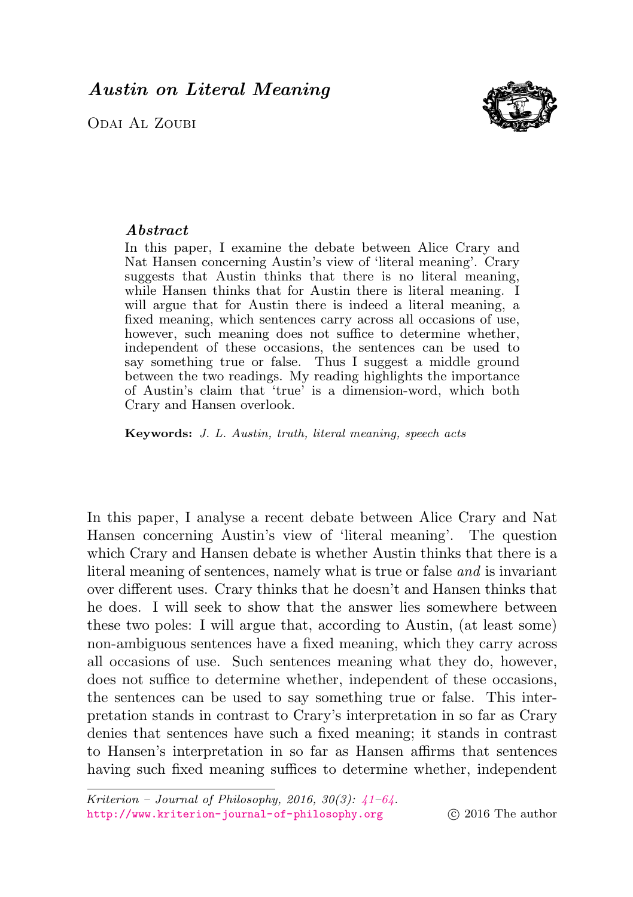<span id="page-0-0"></span>Odai Al Zoubi



# Abstract

In this paper, I examine the debate between Alice Crary and Nat Hansen concerning Austin's view of 'literal meaning'. Crary suggests that Austin thinks that there is no literal meaning, while Hansen thinks that for Austin there is literal meaning. I will argue that for Austin there is indeed a literal meaning, a fixed meaning, which sentences carry across all occasions of use, however, such meaning does not suffice to determine whether, independent of these occasions, the sentences can be used to say something true or false. Thus I suggest a middle ground between the two readings. My reading highlights the importance of Austin's claim that 'true' is a dimension-word, which both Crary and Hansen overlook.

Keywords: J. L. Austin, truth, literal meaning, speech acts

In this paper, I analyse a recent debate between Alice Crary and Nat Hansen concerning Austin's view of 'literal meaning'. The question which Crary and Hansen debate is whether Austin thinks that there is a literal meaning of sentences, namely what is true or false and is invariant over different uses. Crary thinks that he doesn't and Hansen thinks that he does. I will seek to show that the answer lies somewhere between these two poles: I will argue that, according to Austin, (at least some) non-ambiguous sentences have a fixed meaning, which they carry across all occasions of use. Such sentences meaning what they do, however, does not suffice to determine whether, independent of these occasions, the sentences can be used to say something true or false. This interpretation stands in contrast to Crary's interpretation in so far as Crary denies that sentences have such a fixed meaning; it stands in contrast to Hansen's interpretation in so far as Hansen affirms that sentences having such fixed meaning suffices to determine whether, independent

Kriterion – Journal of Philosophy, 2016, 30(3):  $\angle 1-6\angle$ . <http://www.kriterion-journal-of-philosophy.org> (c) 2016 The author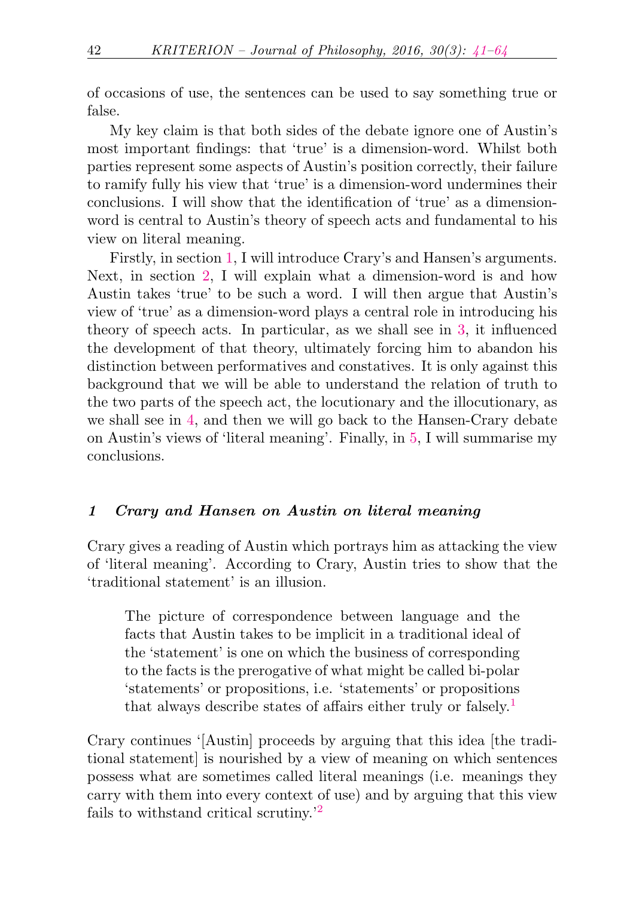of occasions of use, the sentences can be used to say something true or false.

My key claim is that both sides of the debate ignore one of Austin's most important findings: that 'true' is a dimension-word. Whilst both parties represent some aspects of Austin's position correctly, their failure to ramify fully his view that 'true' is a dimension-word undermines their conclusions. I will show that the identification of 'true' as a dimensionword is central to Austin's theory of speech acts and fundamental to his view on literal meaning.

Firstly, in section [1,](#page-1-0) I will introduce Crary's and Hansen's arguments. Next, in section [2,](#page-5-0) I will explain what a dimension-word is and how Austin takes 'true' to be such a word. I will then argue that Austin's view of 'true' as a dimension-word plays a central role in introducing his theory of speech acts. In particular, as we shall see in [3,](#page-9-0) it influenced the development of that theory, ultimately forcing him to abandon his distinction between performatives and constatives. It is only against this background that we will be able to understand the relation of truth to the two parts of the speech act, the locutionary and the illocutionary, as we shall see in [4,](#page-13-0) and then we will go back to the Hansen-Crary debate on Austin's views of 'literal meaning'. Finally, in [5,](#page-18-0) I will summarise my conclusions.

### <span id="page-1-0"></span>1 Crary and Hansen on Austin on literal meaning

Crary gives a reading of Austin which portrays him as attacking the view of 'literal meaning'. According to Crary, Austin tries to show that the 'traditional statement' is an illusion.

<span id="page-1-1"></span>The picture of correspondence between language and the facts that Austin takes to be implicit in a traditional ideal of the 'statement' is one on which the business of corresponding to the facts is the prerogative of what might be called bi-polar 'statements' or propositions, i.e. 'statements' or propositions that always describe states of affairs either truly or falsely.[1](#page-18-1)

<span id="page-1-2"></span>Crary continues '[Austin] proceeds by arguing that this idea [the traditional statement] is nourished by a view of meaning on which sentences possess what are sometimes called literal meanings (i.e. meanings they carry with them into every context of use) and by arguing that this view fails to withstand critical scrutiny.'[2](#page-18-2)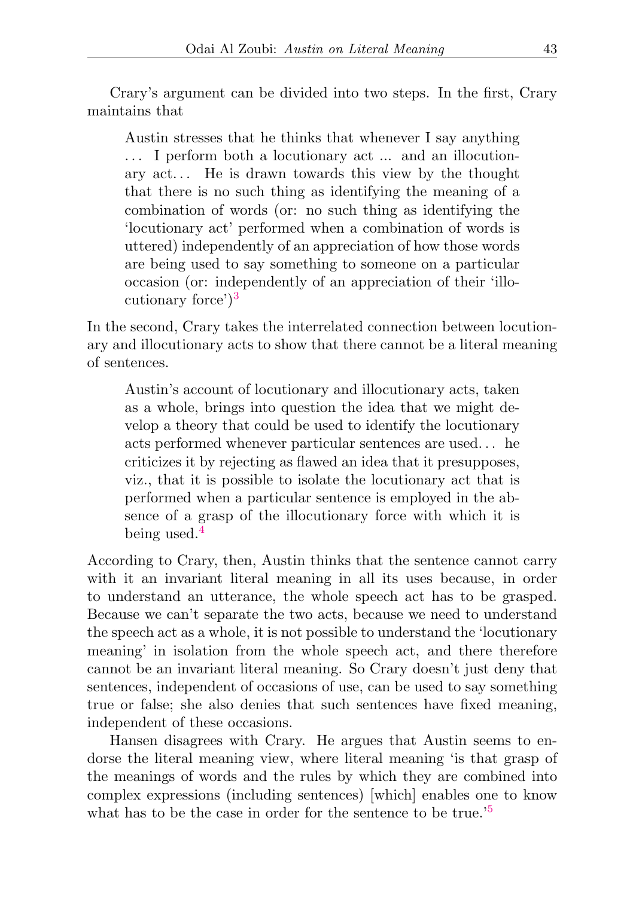Crary's argument can be divided into two steps. In the first, Crary maintains that

Austin stresses that he thinks that whenever I say anything . . . I perform both a locutionary act ... and an illocutionary act. . . He is drawn towards this view by the thought that there is no such thing as identifying the meaning of a combination of words (or: no such thing as identifying the 'locutionary act' performed when a combination of words is uttered) independently of an appreciation of how those words are being used to say something to someone on a particular occasion (or: independently of an appreciation of their 'illocutionary force') $3$ 

In the second, Crary takes the interrelated connection between locutionary and illocutionary acts to show that there cannot be a literal meaning of sentences.

<span id="page-2-0"></span>Austin's account of locutionary and illocutionary acts, taken as a whole, brings into question the idea that we might develop a theory that could be used to identify the locutionary acts performed whenever particular sentences are used. . . he criticizes it by rejecting as flawed an idea that it presupposes, viz., that it is possible to isolate the locutionary act that is performed when a particular sentence is employed in the absence of a grasp of the illocutionary force with which it is being used.[4](#page-18-4)

<span id="page-2-1"></span>According to Crary, then, Austin thinks that the sentence cannot carry with it an invariant literal meaning in all its uses because, in order to understand an utterance, the whole speech act has to be grasped. Because we can't separate the two acts, because we need to understand the speech act as a whole, it is not possible to understand the 'locutionary meaning' in isolation from the whole speech act, and there therefore cannot be an invariant literal meaning. So Crary doesn't just deny that sentences, independent of occasions of use, can be used to say something true or false; she also denies that such sentences have fixed meaning, independent of these occasions.

<span id="page-2-2"></span>Hansen disagrees with Crary. He argues that Austin seems to endorse the literal meaning view, where literal meaning 'is that grasp of the meanings of words and the rules by which they are combined into complex expressions (including sentences) [which] enables one to know what has to be the case in order for the sentence to be true.<sup>'[5](#page-18-5)</sup>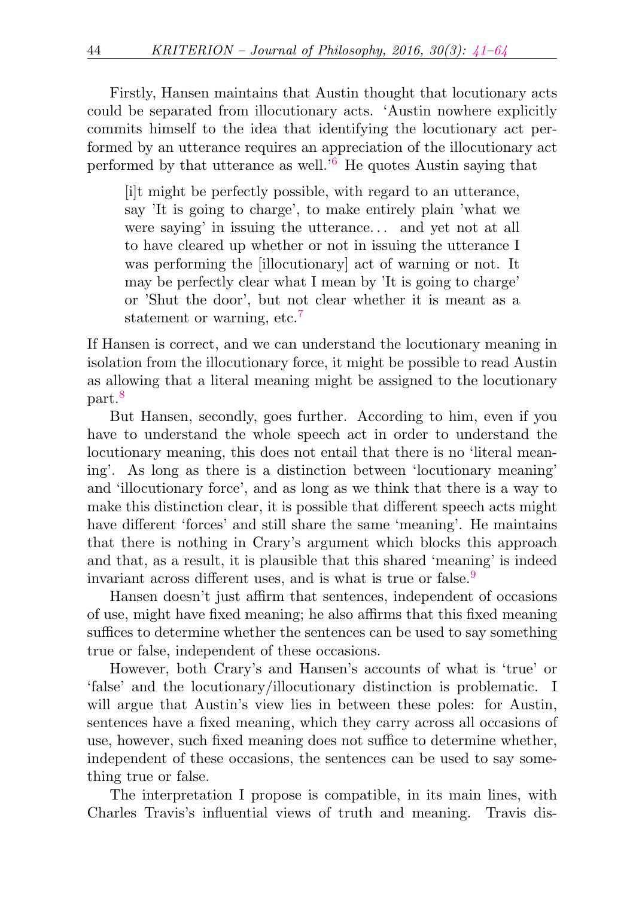Firstly, Hansen maintains that Austin thought that locutionary acts could be separated from illocutionary acts. 'Austin nowhere explicitly commits himself to the idea that identifying the locutionary act performed by an utterance requires an appreciation of the illocutionary act performed by that utterance as well.'[6](#page-18-6) He quotes Austin saying that

<span id="page-3-1"></span><span id="page-3-0"></span>[i]t might be perfectly possible, with regard to an utterance, say 'It is going to charge', to make entirely plain 'what we were saying' in issuing the utterance. . . and yet not at all to have cleared up whether or not in issuing the utterance I was performing the [illocutionary] act of warning or not. It may be perfectly clear what I mean by 'It is going to charge' or 'Shut the door', but not clear whether it is meant as a statement or warning, etc.<sup>[7](#page-18-7)</sup>

If Hansen is correct, and we can understand the locutionary meaning in isolation from the illocutionary force, it might be possible to read Austin as allowing that a literal meaning might be assigned to the locutionary part.<sup>[8](#page-18-8)</sup>

<span id="page-3-2"></span>But Hansen, secondly, goes further. According to him, even if you have to understand the whole speech act in order to understand the locutionary meaning, this does not entail that there is no 'literal meaning'. As long as there is a distinction between 'locutionary meaning' and 'illocutionary force', and as long as we think that there is a way to make this distinction clear, it is possible that different speech acts might have different 'forces' and still share the same 'meaning'. He maintains that there is nothing in Crary's argument which blocks this approach and that, as a result, it is plausible that this shared 'meaning' is indeed invariant across different uses, and is what is true or false.<sup>[9](#page-18-9)</sup>

<span id="page-3-3"></span>Hansen doesn't just affirm that sentences, independent of occasions of use, might have fixed meaning; he also affirms that this fixed meaning suffices to determine whether the sentences can be used to say something true or false, independent of these occasions.

However, both Crary's and Hansen's accounts of what is 'true' or 'false' and the locutionary/illocutionary distinction is problematic. I will argue that Austin's view lies in between these poles: for Austin, sentences have a fixed meaning, which they carry across all occasions of use, however, such fixed meaning does not suffice to determine whether, independent of these occasions, the sentences can be used to say something true or false.

The interpretation I propose is compatible, in its main lines, with Charles Travis's influential views of truth and meaning. Travis dis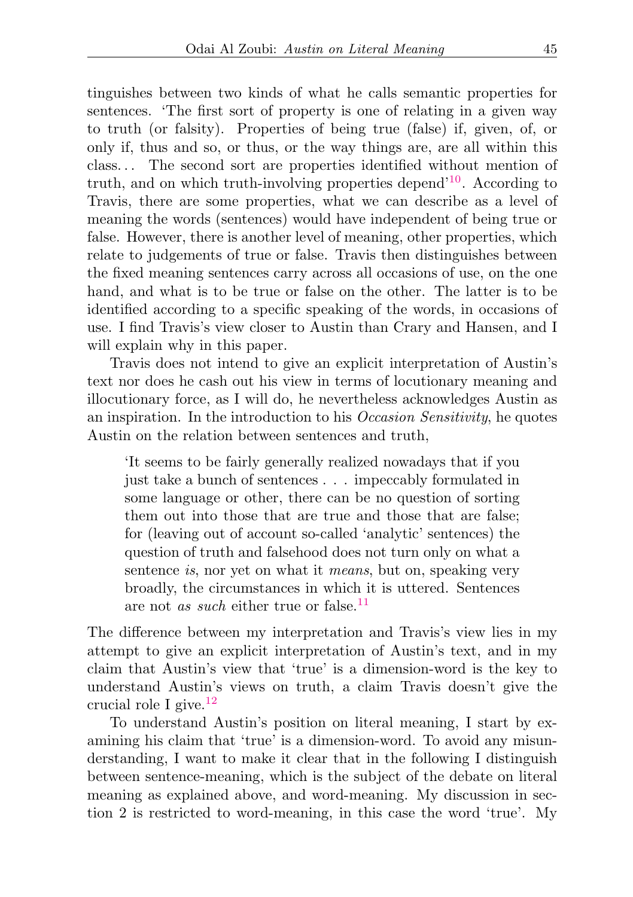<span id="page-4-0"></span>tinguishes between two kinds of what he calls semantic properties for sentences. 'The first sort of property is one of relating in a given way to truth (or falsity). Properties of being true (false) if, given, of, or only if, thus and so, or thus, or the way things are, are all within this class. . . The second sort are properties identified without mention of truth, and on which truth-involving properties depend<sup>'[10](#page-18-10)</sup>. According to Travis, there are some properties, what we can describe as a level of meaning the words (sentences) would have independent of being true or false. However, there is another level of meaning, other properties, which relate to judgements of true or false. Travis then distinguishes between the fixed meaning sentences carry across all occasions of use, on the one hand, and what is to be true or false on the other. The latter is to be identified according to a specific speaking of the words, in occasions of use. I find Travis's view closer to Austin than Crary and Hansen, and I will explain why in this paper.

Travis does not intend to give an explicit interpretation of Austin's text nor does he cash out his view in terms of locutionary meaning and illocutionary force, as I will do, he nevertheless acknowledges Austin as an inspiration. In the introduction to his Occasion Sensitivity, he quotes Austin on the relation between sentences and truth,

<span id="page-4-1"></span>'It seems to be fairly generally realized nowadays that if you just take a bunch of sentences . . . impeccably formulated in some language or other, there can be no question of sorting them out into those that are true and those that are false; for (leaving out of account so-called 'analytic' sentences) the question of truth and falsehood does not turn only on what a sentence *is*, nor yet on what it *means*, but on, speaking very broadly, the circumstances in which it is uttered. Sentences are not *as such* either true or false.<sup>[11](#page-18-11)</sup>

The difference between my interpretation and Travis's view lies in my attempt to give an explicit interpretation of Austin's text, and in my claim that Austin's view that 'true' is a dimension-word is the key to understand Austin's views on truth, a claim Travis doesn't give the crucial role I give. $^{12}$  $^{12}$  $^{12}$ 

<span id="page-4-2"></span>To understand Austin's position on literal meaning, I start by examining his claim that 'true' is a dimension-word. To avoid any misunderstanding, I want to make it clear that in the following I distinguish between sentence-meaning, which is the subject of the debate on literal meaning as explained above, and word-meaning. My discussion in section 2 is restricted to word-meaning, in this case the word 'true'. My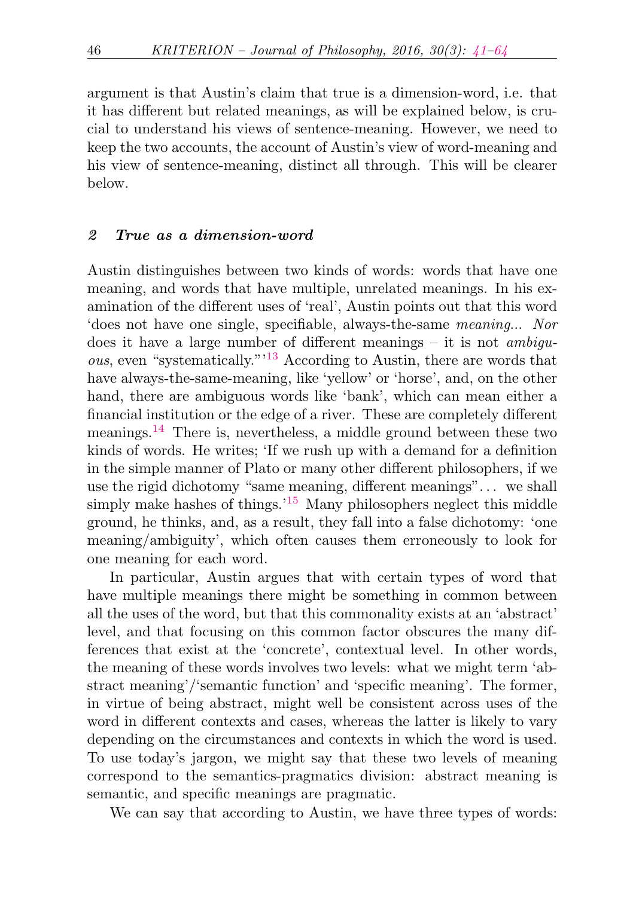argument is that Austin's claim that true is a dimension-word, i.e. that it has different but related meanings, as will be explained below, is crucial to understand his views of sentence-meaning. However, we need to keep the two accounts, the account of Austin's view of word-meaning and his view of sentence-meaning, distinct all through. This will be clearer below.

### <span id="page-5-0"></span>2 True as a dimension-word

<span id="page-5-1"></span>Austin distinguishes between two kinds of words: words that have one meaning, and words that have multiple, unrelated meanings. In his examination of the different uses of 'real', Austin points out that this word 'does not have one single, specifiable, always-the-same meaning... Nor does it have a large number of different meanings  $-$  it is not *ambigu*ous, even "systematically."'[13](#page-19-0) According to Austin, there are words that have always-the-same-meaning, like 'yellow' or 'horse', and, on the other hand, there are ambiguous words like 'bank', which can mean either a financial institution or the edge of a river. These are completely different meanings.[14](#page-19-1) There is, nevertheless, a middle ground between these two kinds of words. He writes; 'If we rush up with a demand for a definition in the simple manner of Plato or many other different philosophers, if we use the rigid dichotomy "same meaning, different meanings". . . we shall simply make hashes of things.<sup>'[15](#page-19-2)</sup> Many philosophers neglect this middle ground, he thinks, and, as a result, they fall into a false dichotomy: 'one meaning/ambiguity', which often causes them erroneously to look for one meaning for each word.

<span id="page-5-3"></span><span id="page-5-2"></span>In particular, Austin argues that with certain types of word that have multiple meanings there might be something in common between all the uses of the word, but that this commonality exists at an 'abstract' level, and that focusing on this common factor obscures the many differences that exist at the 'concrete', contextual level. In other words, the meaning of these words involves two levels: what we might term 'abstract meaning'/'semantic function' and 'specific meaning'. The former, in virtue of being abstract, might well be consistent across uses of the word in different contexts and cases, whereas the latter is likely to vary depending on the circumstances and contexts in which the word is used. To use today's jargon, we might say that these two levels of meaning correspond to the semantics-pragmatics division: abstract meaning is semantic, and specific meanings are pragmatic.

We can say that according to Austin, we have three types of words: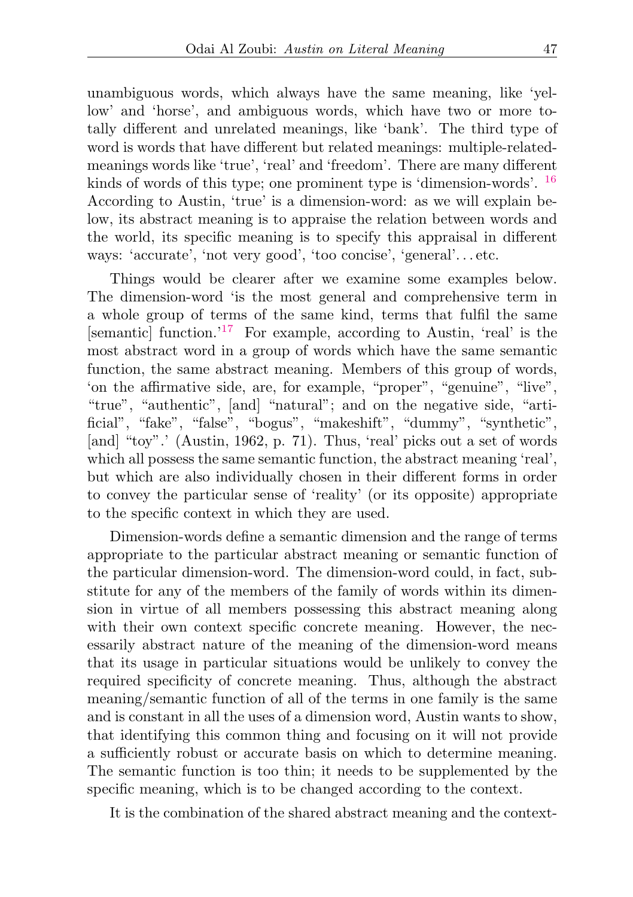<span id="page-6-0"></span>unambiguous words, which always have the same meaning, like 'yellow' and 'horse', and ambiguous words, which have two or more totally different and unrelated meanings, like 'bank'. The third type of word is words that have different but related meanings: multiple-relatedmeanings words like 'true', 'real' and 'freedom'. There are many different kinds of words of this type; one prominent type is 'dimension-words'. <sup>[16](#page-19-3)</sup> According to Austin, 'true' is a dimension-word: as we will explain below, its abstract meaning is to appraise the relation between words and the world, its specific meaning is to specify this appraisal in different ways: 'accurate', 'not very good', 'too concise', 'general'. . . etc.

<span id="page-6-1"></span>Things would be clearer after we examine some examples below. The dimension-word 'is the most general and comprehensive term in a whole group of terms of the same kind, terms that fulfil the same [semantic] function.'[17](#page-19-4) For example, according to Austin, 'real' is the most abstract word in a group of words which have the same semantic function, the same abstract meaning. Members of this group of words, 'on the affirmative side, are, for example, "proper", "genuine", "live", "true", "authentic", [and] "natural"; and on the negative side, "artificial", "fake", "false", "bogus", "makeshift", "dummy", "synthetic", [and] "toy".' (Austin, 1962, p. 71). Thus, 'real' picks out a set of words which all possess the same semantic function, the abstract meaning 'real', but which are also individually chosen in their different forms in order to convey the particular sense of 'reality' (or its opposite) appropriate to the specific context in which they are used.

Dimension-words define a semantic dimension and the range of terms appropriate to the particular abstract meaning or semantic function of the particular dimension-word. The dimension-word could, in fact, substitute for any of the members of the family of words within its dimension in virtue of all members possessing this abstract meaning along with their own context specific concrete meaning. However, the necessarily abstract nature of the meaning of the dimension-word means that its usage in particular situations would be unlikely to convey the required specificity of concrete meaning. Thus, although the abstract meaning/semantic function of all of the terms in one family is the same and is constant in all the uses of a dimension word, Austin wants to show, that identifying this common thing and focusing on it will not provide a sufficiently robust or accurate basis on which to determine meaning. The semantic function is too thin; it needs to be supplemented by the specific meaning, which is to be changed according to the context.

It is the combination of the shared abstract meaning and the context-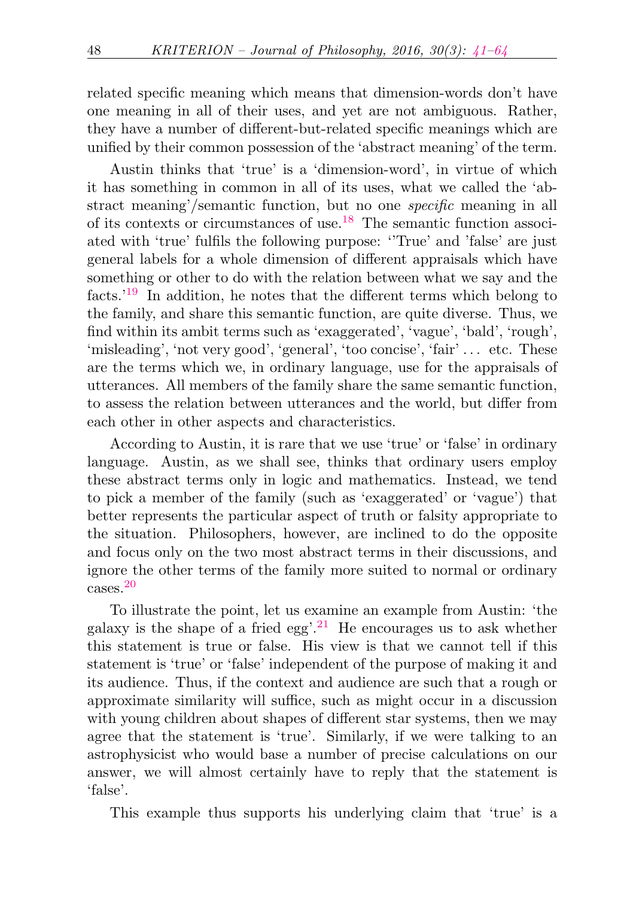related specific meaning which means that dimension-words don't have one meaning in all of their uses, and yet are not ambiguous. Rather, they have a number of different-but-related specific meanings which are unified by their common possession of the 'abstract meaning' of the term.

<span id="page-7-1"></span><span id="page-7-0"></span>Austin thinks that 'true' is a 'dimension-word', in virtue of which it has something in common in all of its uses, what we called the 'abstract meaning'/semantic function, but no one specific meaning in all of its contexts or circumstances of use.[18](#page-19-5) The semantic function associated with 'true' fulfils the following purpose: ''True' and 'false' are just general labels for a whole dimension of different appraisals which have something or other to do with the relation between what we say and the facts.'[19](#page-19-6) In addition, he notes that the different terms which belong to the family, and share this semantic function, are quite diverse. Thus, we find within its ambit terms such as 'exaggerated', 'vague', 'bald', 'rough', 'misleading', 'not very good', 'general', 'too concise', 'fair' . . . etc. These are the terms which we, in ordinary language, use for the appraisals of utterances. All members of the family share the same semantic function, to assess the relation between utterances and the world, but differ from each other in other aspects and characteristics.

According to Austin, it is rare that we use 'true' or 'false' in ordinary language. Austin, as we shall see, thinks that ordinary users employ these abstract terms only in logic and mathematics. Instead, we tend to pick a member of the family (such as 'exaggerated' or 'vague') that better represents the particular aspect of truth or falsity appropriate to the situation. Philosophers, however, are inclined to do the opposite and focus only on the two most abstract terms in their discussions, and ignore the other terms of the family more suited to normal or ordinary cases.[20](#page-19-7)

<span id="page-7-3"></span><span id="page-7-2"></span>To illustrate the point, let us examine an example from Austin: 'the galaxy is the shape of a fried egg'.<sup>[21](#page-19-8)</sup> He encourages us to ask whether this statement is true or false. His view is that we cannot tell if this statement is 'true' or 'false' independent of the purpose of making it and its audience. Thus, if the context and audience are such that a rough or approximate similarity will suffice, such as might occur in a discussion with young children about shapes of different star systems, then we may agree that the statement is 'true'. Similarly, if we were talking to an astrophysicist who would base a number of precise calculations on our answer, we will almost certainly have to reply that the statement is 'false'.

This example thus supports his underlying claim that 'true' is a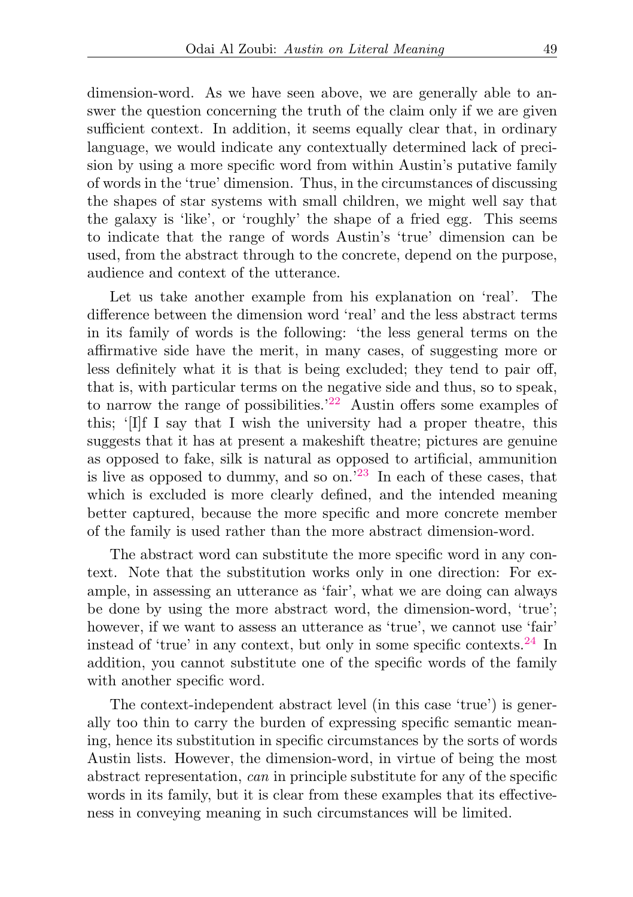dimension-word. As we have seen above, we are generally able to answer the question concerning the truth of the claim only if we are given sufficient context. In addition, it seems equally clear that, in ordinary language, we would indicate any contextually determined lack of precision by using a more specific word from within Austin's putative family of words in the 'true' dimension. Thus, in the circumstances of discussing the shapes of star systems with small children, we might well say that the galaxy is 'like', or 'roughly' the shape of a fried egg. This seems to indicate that the range of words Austin's 'true' dimension can be used, from the abstract through to the concrete, depend on the purpose, audience and context of the utterance.

<span id="page-8-0"></span>Let us take another example from his explanation on 'real'. The difference between the dimension word 'real' and the less abstract terms in its family of words is the following: 'the less general terms on the affirmative side have the merit, in many cases, of suggesting more or less definitely what it is that is being excluded; they tend to pair off, that is, with particular terms on the negative side and thus, so to speak, to narrow the range of possibilities.<sup>'[22](#page-19-9)</sup> Austin offers some examples of this; '[I]f I say that I wish the university had a proper theatre, this suggests that it has at present a makeshift theatre; pictures are genuine as opposed to fake, silk is natural as opposed to artificial, ammunition is live as opposed to dummy, and so on.'[23](#page-19-10) In each of these cases, that which is excluded is more clearly defined, and the intended meaning better captured, because the more specific and more concrete member of the family is used rather than the more abstract dimension-word.

<span id="page-8-1"></span>The abstract word can substitute the more specific word in any context. Note that the substitution works only in one direction: For example, in assessing an utterance as 'fair', what we are doing can always be done by using the more abstract word, the dimension-word, 'true'; however, if we want to assess an utterance as 'true', we cannot use 'fair' instead of 'true' in any context, but only in some specific contexts.<sup>[24](#page-19-11)</sup> In addition, you cannot substitute one of the specific words of the family with another specific word.

<span id="page-8-2"></span>The context-independent abstract level (in this case 'true') is generally too thin to carry the burden of expressing specific semantic meaning, hence its substitution in specific circumstances by the sorts of words Austin lists. However, the dimension-word, in virtue of being the most abstract representation, can in principle substitute for any of the specific words in its family, but it is clear from these examples that its effectiveness in conveying meaning in such circumstances will be limited.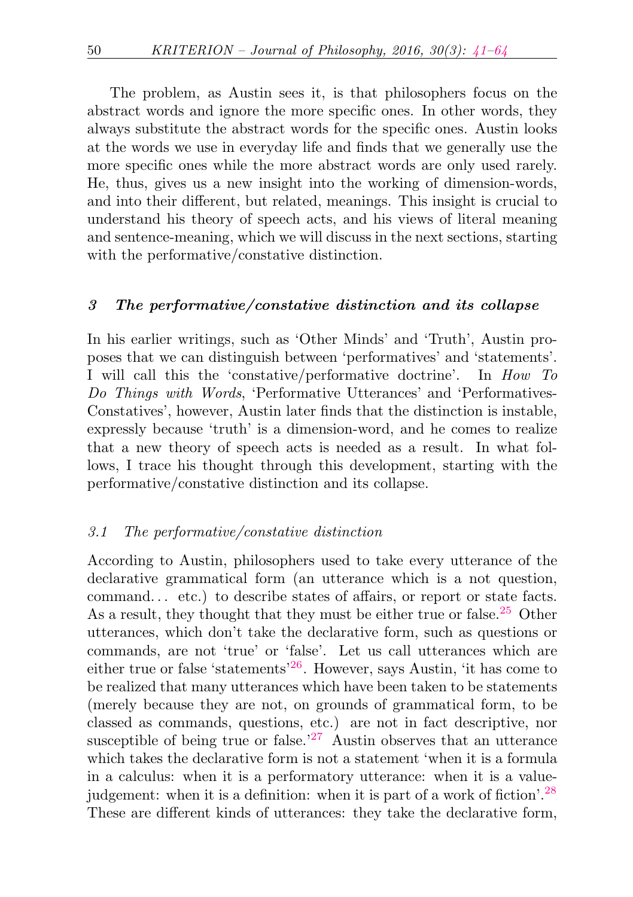The problem, as Austin sees it, is that philosophers focus on the abstract words and ignore the more specific ones. In other words, they always substitute the abstract words for the specific ones. Austin looks at the words we use in everyday life and finds that we generally use the more specific ones while the more abstract words are only used rarely. He, thus, gives us a new insight into the working of dimension-words, and into their different, but related, meanings. This insight is crucial to understand his theory of speech acts, and his views of literal meaning and sentence-meaning, which we will discuss in the next sections, starting with the performative/constative distinction.

#### <span id="page-9-0"></span>3 The performative/constative distinction and its collapse

In his earlier writings, such as 'Other Minds' and 'Truth', Austin proposes that we can distinguish between 'performatives' and 'statements'. I will call this the 'constative/performative doctrine'. In How To Do Things with Words, 'Performative Utterances' and 'Performatives-Constatives', however, Austin later finds that the distinction is instable, expressly because 'truth' is a dimension-word, and he comes to realize that a new theory of speech acts is needed as a result. In what follows, I trace his thought through this development, starting with the performative/constative distinction and its collapse.

#### 3.1 The performative/constative distinction

<span id="page-9-4"></span><span id="page-9-3"></span><span id="page-9-2"></span><span id="page-9-1"></span>According to Austin, philosophers used to take every utterance of the declarative grammatical form (an utterance which is a not question, command... etc.) to describe states of affairs, or report or state facts. As a result, they thought that they must be either true or false.<sup>[25](#page-19-12)</sup> Other utterances, which don't take the declarative form, such as questions or commands, are not 'true' or 'false'. Let us call utterances which are either true or false 'statements'[26](#page-19-13). However, says Austin, 'it has come to be realized that many utterances which have been taken to be statements (merely because they are not, on grounds of grammatical form, to be classed as commands, questions, etc.) are not in fact descriptive, nor susceptible of being true or false.<sup> $27$ </sup> Austin observes that an utterance which takes the declarative form is not a statement 'when it is a formula in a calculus: when it is a performatory utterance: when it is a valuejudgement: when it is a definition: when it is part of a work of fiction'.[28](#page-19-15) These are different kinds of utterances: they take the declarative form,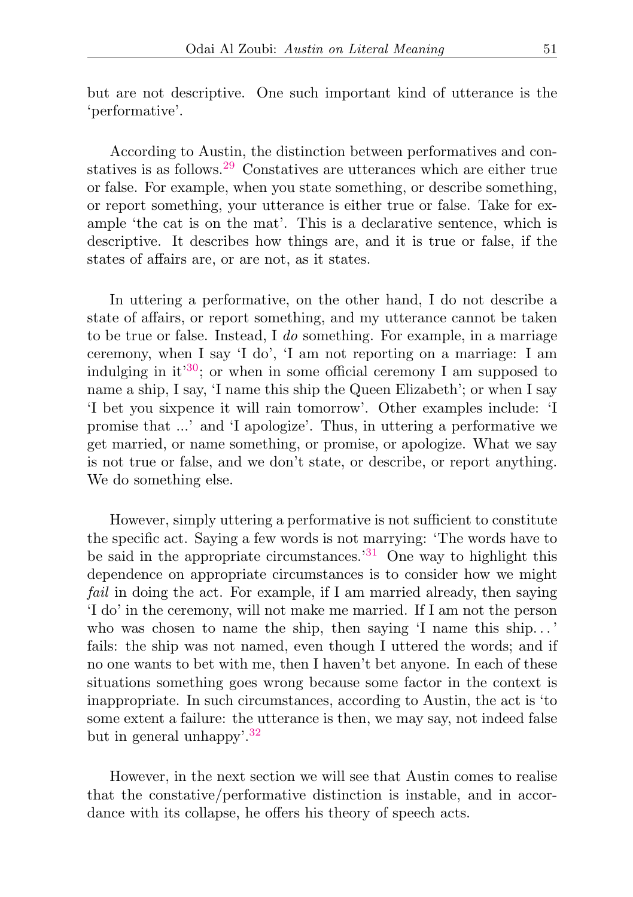but are not descriptive. One such important kind of utterance is the 'performative'.

<span id="page-10-0"></span>According to Austin, the distinction between performatives and constatives is as follows.[29](#page-19-16) Constatives are utterances which are either true or false. For example, when you state something, or describe something, or report something, your utterance is either true or false. Take for example 'the cat is on the mat'. This is a declarative sentence, which is descriptive. It describes how things are, and it is true or false, if the states of affairs are, or are not, as it states.

<span id="page-10-1"></span>In uttering a performative, on the other hand, I do not describe a state of affairs, or report something, and my utterance cannot be taken to be true or false. Instead, I do something. For example, in a marriage ceremony, when I say 'I do', 'I am not reporting on a marriage: I am indulging in it<sup>[30](#page-19-17)</sup>; or when in some official ceremony I am supposed to name a ship, I say, 'I name this ship the Queen Elizabeth'; or when I say 'I bet you sixpence it will rain tomorrow'. Other examples include: 'I promise that ...' and 'I apologize'. Thus, in uttering a performative we get married, or name something, or promise, or apologize. What we say is not true or false, and we don't state, or describe, or report anything. We do something else.

<span id="page-10-2"></span>However, simply uttering a performative is not sufficient to constitute the specific act. Saying a few words is not marrying: 'The words have to be said in the appropriate circumstances.<sup>[31](#page-19-18)</sup> One way to highlight this dependence on appropriate circumstances is to consider how we might fail in doing the act. For example, if I am married already, then saying 'I do' in the ceremony, will not make me married. If I am not the person who was chosen to name the ship, then saying 'I name this ship...' fails: the ship was not named, even though I uttered the words; and if no one wants to bet with me, then I haven't bet anyone. In each of these situations something goes wrong because some factor in the context is inappropriate. In such circumstances, according to Austin, the act is 'to some extent a failure: the utterance is then, we may say, not indeed false but in general unhappy'.[32](#page-19-19)

<span id="page-10-3"></span>However, in the next section we will see that Austin comes to realise that the constative/performative distinction is instable, and in accordance with its collapse, he offers his theory of speech acts.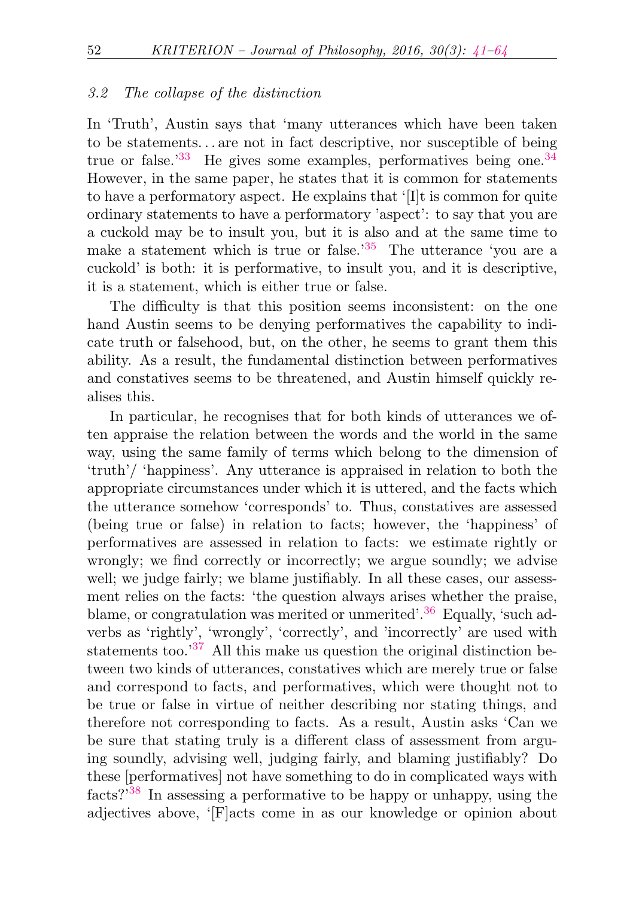#### <span id="page-11-0"></span>3.2 The collapse of the distinction

<span id="page-11-2"></span><span id="page-11-1"></span>In 'Truth', Austin says that 'many utterances which have been taken to be statements. . . are not in fact descriptive, nor susceptible of being true or false. $133$  $133$  He gives some examples, performatives being one.  $34$ However, in the same paper, he states that it is common for statements to have a performatory aspect. He explains that '[I]t is common for quite ordinary statements to have a performatory 'aspect': to say that you are a cuckold may be to insult you, but it is also and at the same time to make a statement which is true or false.<sup>[35](#page-19-22)</sup> The utterance 'you are a cuckold' is both: it is performative, to insult you, and it is descriptive, it is a statement, which is either true or false.

<span id="page-11-3"></span>The difficulty is that this position seems inconsistent: on the one hand Austin seems to be denying performatives the capability to indicate truth or falsehood, but, on the other, he seems to grant them this ability. As a result, the fundamental distinction between performatives and constatives seems to be threatened, and Austin himself quickly realises this.

<span id="page-11-6"></span><span id="page-11-5"></span><span id="page-11-4"></span>In particular, he recognises that for both kinds of utterances we often appraise the relation between the words and the world in the same way, using the same family of terms which belong to the dimension of 'truth'/ 'happiness'. Any utterance is appraised in relation to both the appropriate circumstances under which it is uttered, and the facts which the utterance somehow 'corresponds' to. Thus, constatives are assessed (being true or false) in relation to facts; however, the 'happiness' of performatives are assessed in relation to facts: we estimate rightly or wrongly; we find correctly or incorrectly; we argue soundly; we advise well; we judge fairly; we blame justifiably. In all these cases, our assessment relies on the facts: 'the question always arises whether the praise, blame, or congratulation was merited or unmerited'.<sup>[36](#page-19-23)</sup> Equally, 'such adverbs as 'rightly', 'wrongly', 'correctly', and 'incorrectly' are used with statements too.'[37](#page-19-24) All this make us question the original distinction between two kinds of utterances, constatives which are merely true or false and correspond to facts, and performatives, which were thought not to be true or false in virtue of neither describing nor stating things, and therefore not corresponding to facts. As a result, Austin asks 'Can we be sure that stating truly is a different class of assessment from arguing soundly, advising well, judging fairly, and blaming justifiably? Do these [performatives] not have something to do in complicated ways with facts?'[38](#page-19-25) In assessing a performative to be happy or unhappy, using the adjectives above, '[F]acts come in as our knowledge or opinion about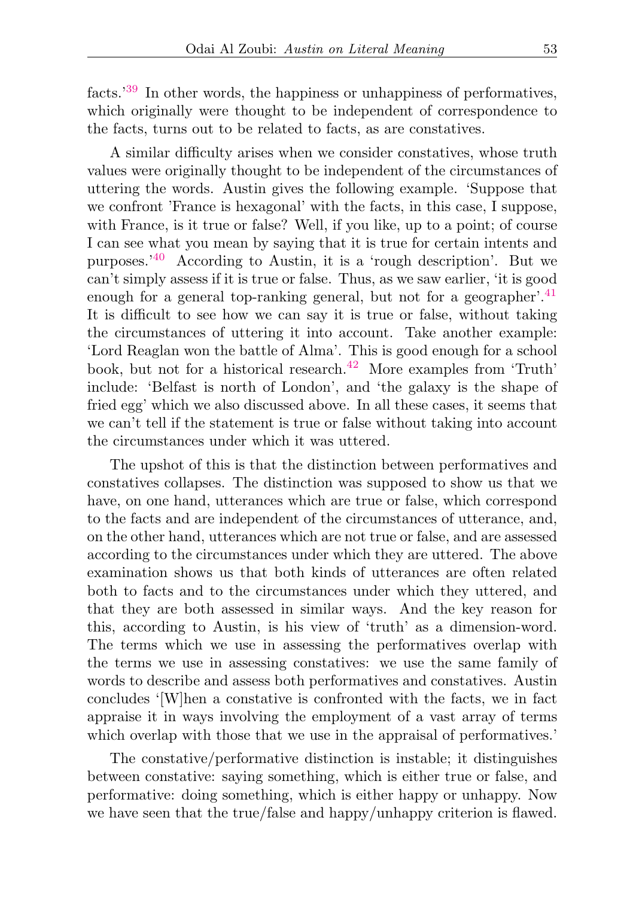<span id="page-12-0"></span>facts.'[39](#page-19-26) In other words, the happiness or unhappiness of performatives, which originally were thought to be independent of correspondence to the facts, turns out to be related to facts, as are constatives.

<span id="page-12-2"></span><span id="page-12-1"></span>A similar difficulty arises when we consider constatives, whose truth values were originally thought to be independent of the circumstances of uttering the words. Austin gives the following example. 'Suppose that we confront 'France is hexagonal' with the facts, in this case, I suppose, with France, is it true or false? Well, if you like, up to a point; of course I can see what you mean by saying that it is true for certain intents and purposes.'[40](#page-19-27) According to Austin, it is a 'rough description'. But we can't simply assess if it is true or false. Thus, as we saw earlier, 'it is good enough for a general top-ranking general, but not for a geographer'.<sup>[41](#page-20-0)</sup> It is difficult to see how we can say it is true or false, without taking the circumstances of uttering it into account. Take another example: 'Lord Reaglan won the battle of Alma'. This is good enough for a school book, but not for a historical research.<sup>[42](#page-20-1)</sup> More examples from 'Truth' include: 'Belfast is north of London', and 'the galaxy is the shape of fried egg' which we also discussed above. In all these cases, it seems that we can't tell if the statement is true or false without taking into account the circumstances under which it was uttered.

<span id="page-12-3"></span>The upshot of this is that the distinction between performatives and constatives collapses. The distinction was supposed to show us that we have, on one hand, utterances which are true or false, which correspond to the facts and are independent of the circumstances of utterance, and, on the other hand, utterances which are not true or false, and are assessed according to the circumstances under which they are uttered. The above examination shows us that both kinds of utterances are often related both to facts and to the circumstances under which they uttered, and that they are both assessed in similar ways. And the key reason for this, according to Austin, is his view of 'truth' as a dimension-word. The terms which we use in assessing the performatives overlap with the terms we use in assessing constatives: we use the same family of words to describe and assess both performatives and constatives. Austin concludes '[W]hen a constative is confronted with the facts, we in fact appraise it in ways involving the employment of a vast array of terms which overlap with those that we use in the appraisal of performatives.'

The constative/performative distinction is instable; it distinguishes between constative: saying something, which is either true or false, and performative: doing something, which is either happy or unhappy. Now we have seen that the true/false and happy/unhappy criterion is flawed.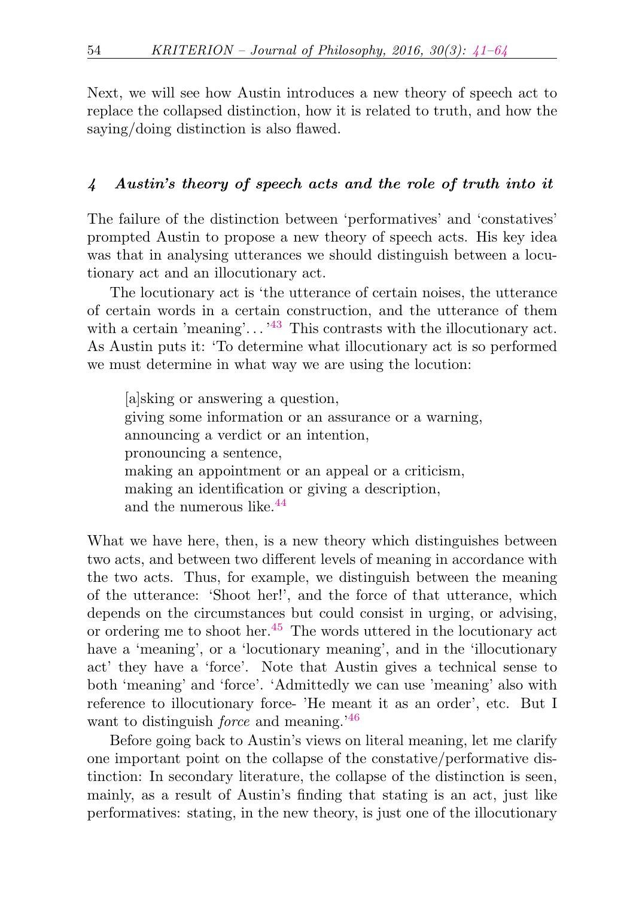Next, we will see how Austin introduces a new theory of speech act to replace the collapsed distinction, how it is related to truth, and how the saying/doing distinction is also flawed.

# <span id="page-13-0"></span>4 Austin's theory of speech acts and the role of truth into it

The failure of the distinction between 'performatives' and 'constatives' prompted Austin to propose a new theory of speech acts. His key idea was that in analysing utterances we should distinguish between a locutionary act and an illocutionary act.

The locutionary act is 'the utterance of certain noises, the utterance of certain words in a certain construction, and the utterance of them with a certain 'meaning'...  $^{43}$  $^{43}$  $^{43}$  This contrasts with the illocutionary act. As Austin puts it: 'To determine what illocutionary act is so performed we must determine in what way we are using the locution:

<span id="page-13-2"></span><span id="page-13-1"></span>[a]sking or answering a question, giving some information or an assurance or a warning, announcing a verdict or an intention, pronouncing a sentence, making an appointment or an appeal or a criticism, making an identification or giving a description, and the numerous like  $44$ 

<span id="page-13-3"></span>What we have here, then, is a new theory which distinguishes between two acts, and between two different levels of meaning in accordance with the two acts. Thus, for example, we distinguish between the meaning of the utterance: 'Shoot her!', and the force of that utterance, which depends on the circumstances but could consist in urging, or advising, or ordering me to shoot her.[45](#page-20-4) The words uttered in the locutionary act have a 'meaning', or a 'locutionary meaning', and in the 'illocutionary act' they have a 'force'. Note that Austin gives a technical sense to both 'meaning' and 'force'. 'Admittedly we can use 'meaning' also with reference to illocutionary force- 'He meant it as an order', etc. But I want to distinguish *force* and meaning.<sup>'[46](#page-20-5)</sup>

<span id="page-13-4"></span>Before going back to Austin's views on literal meaning, let me clarify one important point on the collapse of the constative/performative distinction: In secondary literature, the collapse of the distinction is seen, mainly, as a result of Austin's finding that stating is an act, just like performatives: stating, in the new theory, is just one of the illocutionary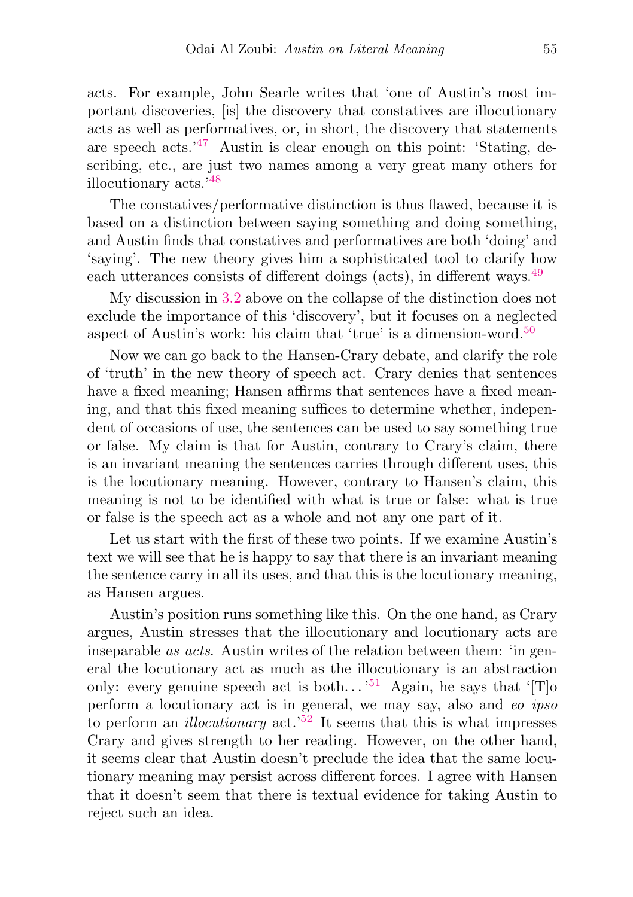<span id="page-14-0"></span>acts. For example, John Searle writes that 'one of Austin's most important discoveries, [is] the discovery that constatives are illocutionary acts as well as performatives, or, in short, the discovery that statements are speech acts.<sup>'[47](#page-20-6)</sup> Austin is clear enough on this point: 'Stating, describing, etc., are just two names among a very great many others for illocutionary acts.'[48](#page-20-7)

<span id="page-14-1"></span>The constatives/performative distinction is thus flawed, because it is based on a distinction between saying something and doing something, and Austin finds that constatives and performatives are both 'doing' and 'saying'. The new theory gives him a sophisticated tool to clarify how each utterances consists of different doings (acts), in different ways.<sup>[49](#page-20-8)</sup>

<span id="page-14-2"></span>My discussion in [3.2](#page-11-0) above on the collapse of the distinction does not exclude the importance of this 'discovery', but it focuses on a neglected aspect of Austin's work: his claim that 'true' is a dimension-word.<sup>[50](#page-20-9)</sup>

<span id="page-14-3"></span>Now we can go back to the Hansen-Crary debate, and clarify the role of 'truth' in the new theory of speech act. Crary denies that sentences have a fixed meaning; Hansen affirms that sentences have a fixed meaning, and that this fixed meaning suffices to determine whether, independent of occasions of use, the sentences can be used to say something true or false. My claim is that for Austin, contrary to Crary's claim, there is an invariant meaning the sentences carries through different uses, this is the locutionary meaning. However, contrary to Hansen's claim, this meaning is not to be identified with what is true or false: what is true or false is the speech act as a whole and not any one part of it.

Let us start with the first of these two points. If we examine Austin's text we will see that he is happy to say that there is an invariant meaning the sentence carry in all its uses, and that this is the locutionary meaning, as Hansen argues.

<span id="page-14-5"></span><span id="page-14-4"></span>Austin's position runs something like this. On the one hand, as Crary argues, Austin stresses that the illocutionary and locutionary acts are inseparable as acts. Austin writes of the relation between them: 'in general the locutionary act as much as the illocutionary is an abstraction only: every genuine speech act is both...<sup>[51](#page-20-10)</sup> Again, he says that '[T]<sup>o</sup> perform a locutionary act is in general, we may say, also and eo ipso to perform an *illocutionary* act.<sup>[52](#page-20-11)</sup> It seems that this is what impresses Crary and gives strength to her reading. However, on the other hand, it seems clear that Austin doesn't preclude the idea that the same locutionary meaning may persist across different forces. I agree with Hansen that it doesn't seem that there is textual evidence for taking Austin to reject such an idea.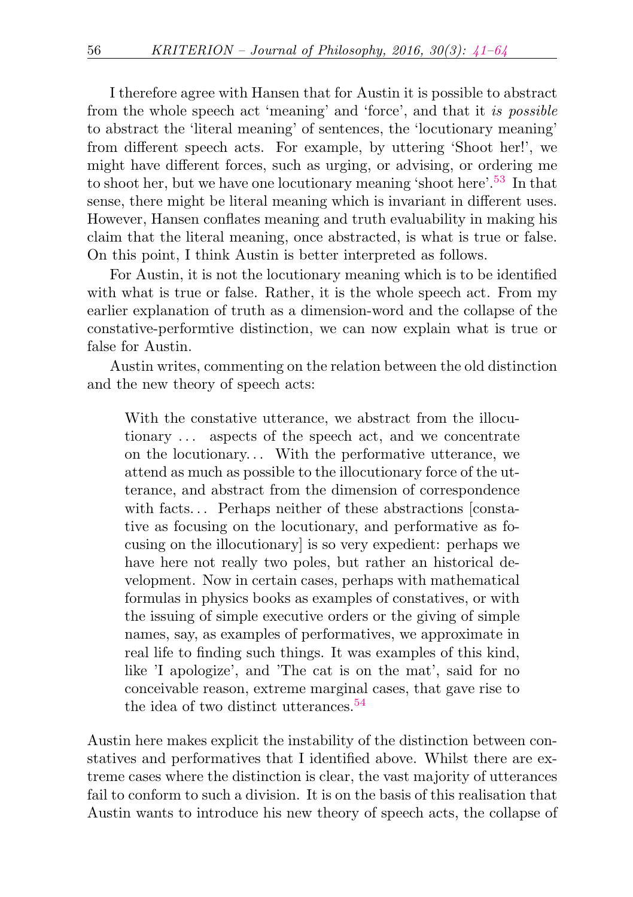<span id="page-15-0"></span>I therefore agree with Hansen that for Austin it is possible to abstract from the whole speech act 'meaning' and 'force', and that it is possible to abstract the 'literal meaning' of sentences, the 'locutionary meaning' from different speech acts. For example, by uttering 'Shoot her!', we might have different forces, such as urging, or advising, or ordering me to shoot her, but we have one locutionary meaning 'shoot here'.<sup>[53](#page-20-12)</sup> In that sense, there might be literal meaning which is invariant in different uses. However, Hansen conflates meaning and truth evaluability in making his claim that the literal meaning, once abstracted, is what is true or false. On this point, I think Austin is better interpreted as follows.

For Austin, it is not the locutionary meaning which is to be identified with what is true or false. Rather, it is the whole speech act. From my earlier explanation of truth as a dimension-word and the collapse of the constative-performtive distinction, we can now explain what is true or false for Austin.

Austin writes, commenting on the relation between the old distinction and the new theory of speech acts:

With the constative utterance, we abstract from the illocutionary ... aspects of the speech act, and we concentrate on the locutionary. . . With the performative utterance, we attend as much as possible to the illocutionary force of the utterance, and abstract from the dimension of correspondence with facts... Perhaps neither of these abstractions [constative as focusing on the locutionary, and performative as focusing on the illocutionary] is so very expedient: perhaps we have here not really two poles, but rather an historical development. Now in certain cases, perhaps with mathematical formulas in physics books as examples of constatives, or with the issuing of simple executive orders or the giving of simple names, say, as examples of performatives, we approximate in real life to finding such things. It was examples of this kind, like 'I apologize', and 'The cat is on the mat', said for no conceivable reason, extreme marginal cases, that gave rise to the idea of two distinct utterances.<sup>[54](#page-20-13)</sup>

<span id="page-15-1"></span>Austin here makes explicit the instability of the distinction between constatives and performatives that I identified above. Whilst there are extreme cases where the distinction is clear, the vast majority of utterances fail to conform to such a division. It is on the basis of this realisation that Austin wants to introduce his new theory of speech acts, the collapse of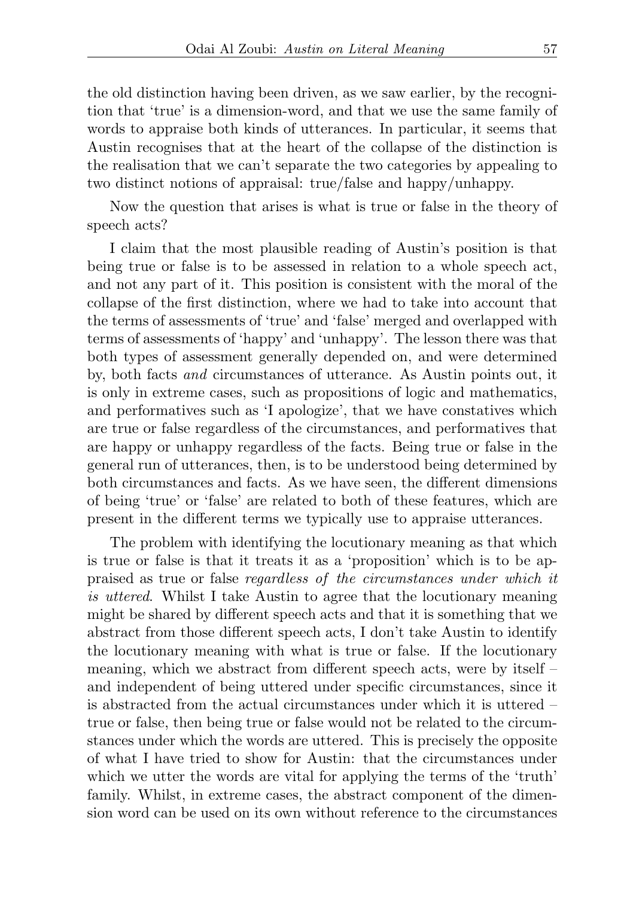the old distinction having been driven, as we saw earlier, by the recognition that 'true' is a dimension-word, and that we use the same family of words to appraise both kinds of utterances. In particular, it seems that Austin recognises that at the heart of the collapse of the distinction is the realisation that we can't separate the two categories by appealing to two distinct notions of appraisal: true/false and happy/unhappy.

Now the question that arises is what is true or false in the theory of speech acts?

I claim that the most plausible reading of Austin's position is that being true or false is to be assessed in relation to a whole speech act, and not any part of it. This position is consistent with the moral of the collapse of the first distinction, where we had to take into account that the terms of assessments of 'true' and 'false' merged and overlapped with terms of assessments of 'happy' and 'unhappy'. The lesson there was that both types of assessment generally depended on, and were determined by, both facts and circumstances of utterance. As Austin points out, it is only in extreme cases, such as propositions of logic and mathematics, and performatives such as 'I apologize', that we have constatives which are true or false regardless of the circumstances, and performatives that are happy or unhappy regardless of the facts. Being true or false in the general run of utterances, then, is to be understood being determined by both circumstances and facts. As we have seen, the different dimensions of being 'true' or 'false' are related to both of these features, which are present in the different terms we typically use to appraise utterances.

The problem with identifying the locutionary meaning as that which is true or false is that it treats it as a 'proposition' which is to be appraised as true or false regardless of the circumstances under which it is uttered. Whilst I take Austin to agree that the locutionary meaning might be shared by different speech acts and that it is something that we abstract from those different speech acts, I don't take Austin to identify the locutionary meaning with what is true or false. If the locutionary meaning, which we abstract from different speech acts, were by itself – and independent of being uttered under specific circumstances, since it is abstracted from the actual circumstances under which it is uttered – true or false, then being true or false would not be related to the circumstances under which the words are uttered. This is precisely the opposite of what I have tried to show for Austin: that the circumstances under which we utter the words are vital for applying the terms of the 'truth' family. Whilst, in extreme cases, the abstract component of the dimension word can be used on its own without reference to the circumstances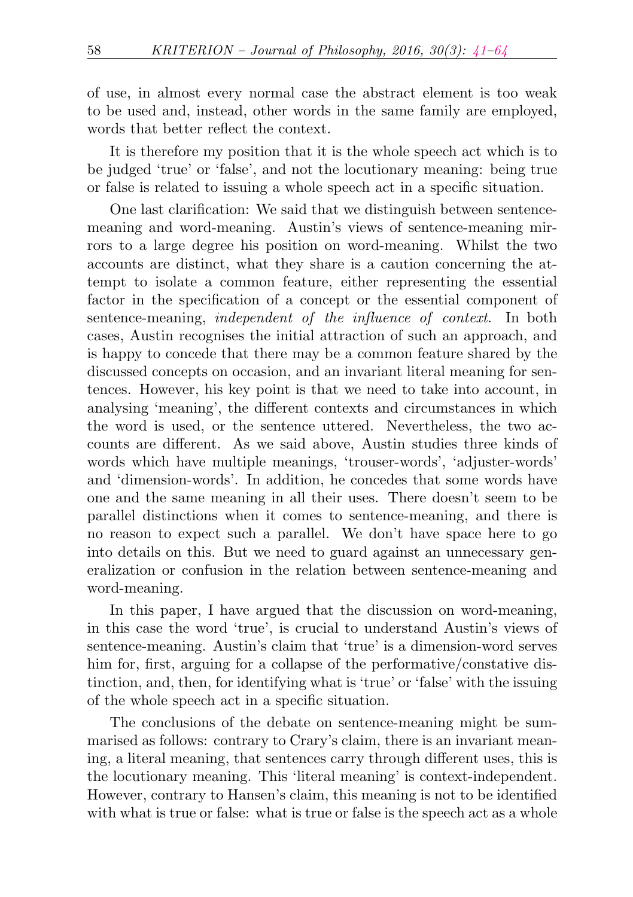of use, in almost every normal case the abstract element is too weak to be used and, instead, other words in the same family are employed, words that better reflect the context.

It is therefore my position that it is the whole speech act which is to be judged 'true' or 'false', and not the locutionary meaning: being true or false is related to issuing a whole speech act in a specific situation.

One last clarification: We said that we distinguish between sentencemeaning and word-meaning. Austin's views of sentence-meaning mirrors to a large degree his position on word-meaning. Whilst the two accounts are distinct, what they share is a caution concerning the attempt to isolate a common feature, either representing the essential factor in the specification of a concept or the essential component of sentence-meaning, independent of the influence of context. In both cases, Austin recognises the initial attraction of such an approach, and is happy to concede that there may be a common feature shared by the discussed concepts on occasion, and an invariant literal meaning for sentences. However, his key point is that we need to take into account, in analysing 'meaning', the different contexts and circumstances in which the word is used, or the sentence uttered. Nevertheless, the two accounts are different. As we said above, Austin studies three kinds of words which have multiple meanings, 'trouser-words', 'adjuster-words' and 'dimension-words'. In addition, he concedes that some words have one and the same meaning in all their uses. There doesn't seem to be parallel distinctions when it comes to sentence-meaning, and there is no reason to expect such a parallel. We don't have space here to go into details on this. But we need to guard against an unnecessary generalization or confusion in the relation between sentence-meaning and word-meaning.

In this paper, I have argued that the discussion on word-meaning, in this case the word 'true', is crucial to understand Austin's views of sentence-meaning. Austin's claim that 'true' is a dimension-word serves him for, first, arguing for a collapse of the performative/constative distinction, and, then, for identifying what is 'true' or 'false' with the issuing of the whole speech act in a specific situation.

The conclusions of the debate on sentence-meaning might be summarised as follows: contrary to Crary's claim, there is an invariant meaning, a literal meaning, that sentences carry through different uses, this is the locutionary meaning. This 'literal meaning' is context-independent. However, contrary to Hansen's claim, this meaning is not to be identified with what is true or false: what is true or false is the speech act as a whole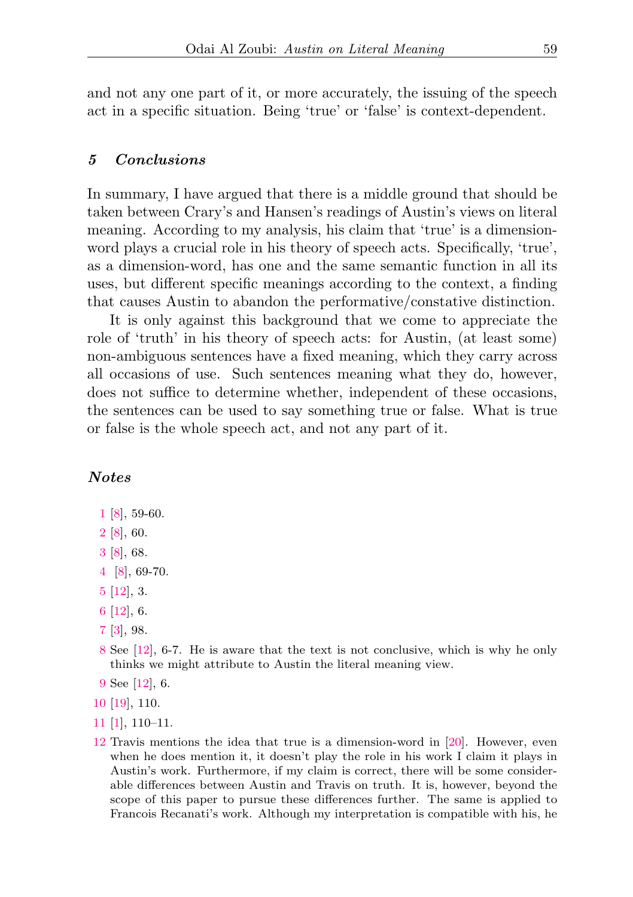and not any one part of it, or more accurately, the issuing of the speech act in a specific situation. Being 'true' or 'false' is context-dependent.

### <span id="page-18-0"></span>5 Conclusions

In summary, I have argued that there is a middle ground that should be taken between Crary's and Hansen's readings of Austin's views on literal meaning. According to my analysis, his claim that 'true' is a dimensionword plays a crucial role in his theory of speech acts. Specifically, 'true', as a dimension-word, has one and the same semantic function in all its uses, but different specific meanings according to the context, a finding that causes Austin to abandon the performative/constative distinction.

It is only against this background that we come to appreciate the role of 'truth' in his theory of speech acts: for Austin, (at least some) non-ambiguous sentences have a fixed meaning, which they carry across all occasions of use. Such sentences meaning what they do, however, does not suffice to determine whether, independent of these occasions, the sentences can be used to say something true or false. What is true or false is the whole speech act, and not any part of it.

## Notes

- <span id="page-18-1"></span>[1](#page-1-1) [\[8\]](#page-21-1), 59-60.
- <span id="page-18-2"></span>[2](#page-1-2) [\[8\]](#page-21-1), 60.
- <span id="page-18-3"></span>[3](#page-2-0) [\[8\]](#page-21-1), 68.
- <span id="page-18-4"></span>[4](#page-2-1) [\[8\]](#page-21-1), 69-70.
- <span id="page-18-5"></span>[5](#page-2-2) [\[12\]](#page-21-2), 3.
- <span id="page-18-6"></span>[6](#page-3-0) [\[12\]](#page-21-2), 6.
- <span id="page-18-7"></span>[7](#page-3-1) [\[3\]](#page-21-3), 98.
- <span id="page-18-8"></span>[8](#page-3-2) See [\[12\]](#page-21-2), 6-7. He is aware that the text is not conclusive, which is why he only thinks we might attribute to Austin the literal meaning view.
- <span id="page-18-9"></span>[9](#page-3-3) See [\[12\]](#page-21-2), 6.
- <span id="page-18-10"></span>[10](#page-4-0) [\[19\]](#page-22-0), 110.
- <span id="page-18-11"></span>[11](#page-4-1) [\[1\]](#page-21-4), 110–11.
- <span id="page-18-12"></span>[12](#page-4-2) Travis mentions the idea that true is a dimension-word in [\[20\]](#page-22-1). However, even when he does mention it, it doesn't play the role in his work I claim it plays in Austin's work. Furthermore, if my claim is correct, there will be some considerable differences between Austin and Travis on truth. It is, however, beyond the scope of this paper to pursue these differences further. The same is applied to Francois Recanati's work. Although my interpretation is compatible with his, he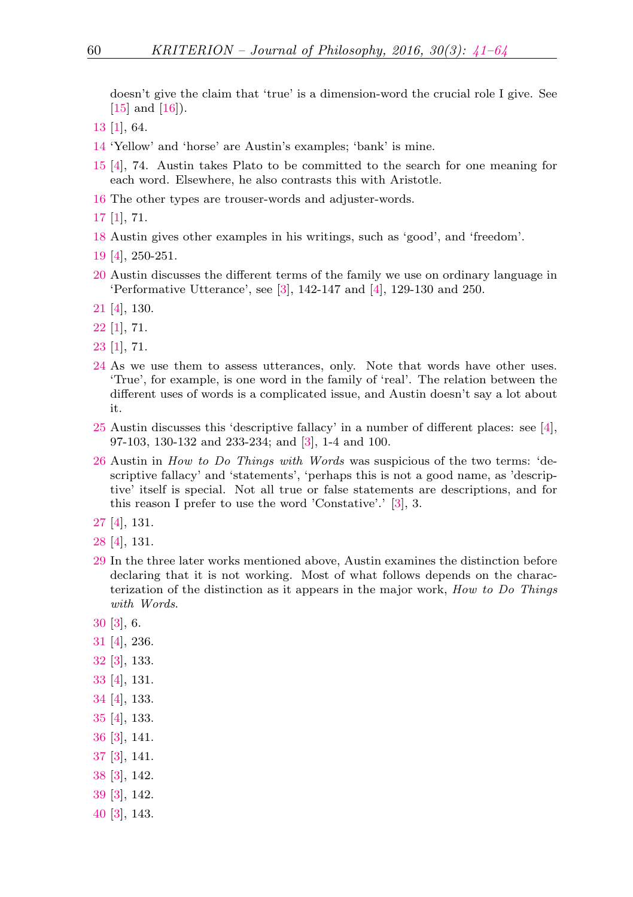doesn't give the claim that 'true' is a dimension-word the crucial role I give. See  $[15]$  and  $[16]$ ).

- <span id="page-19-0"></span>[\[1\]](#page-21-4), 64.
- <span id="page-19-1"></span>'Yellow' and 'horse' are Austin's examples; 'bank' is mine.
- <span id="page-19-2"></span> [\[4\]](#page-21-5), 74. Austin takes Plato to be committed to the search for one meaning for each word. Elsewhere, he also contrasts this with Aristotle.
- <span id="page-19-3"></span>The other types are trouser-words and adjuster-words.
- <span id="page-19-4"></span>[\[1\]](#page-21-4), 71.
- <span id="page-19-5"></span>Austin gives other examples in his writings, such as 'good', and 'freedom'.
- <span id="page-19-6"></span>[\[4\]](#page-21-5), 250-251.
- <span id="page-19-7"></span> Austin discusses the different terms of the family we use on ordinary language in 'Performative Utterance', see [\[3\]](#page-21-3), 142-147 and [\[4\]](#page-21-5), 129-130 and 250.
- <span id="page-19-8"></span>[\[4\]](#page-21-5), 130.
- <span id="page-19-9"></span>[\[1\]](#page-21-4), 71.
- <span id="page-19-10"></span>[\[1\]](#page-21-4), 71.
- <span id="page-19-11"></span> As we use them to assess utterances, only. Note that words have other uses. 'True', for example, is one word in the family of 'real'. The relation between the different uses of words is a complicated issue, and Austin doesn't say a lot about it.
- <span id="page-19-12"></span> Austin discusses this 'descriptive fallacy' in a number of different places: see [\[4\]](#page-21-5), 97-103, 130-132 and 233-234; and [\[3\]](#page-21-3), 1-4 and 100.
- <span id="page-19-13"></span> Austin in How to Do Things with Words was suspicious of the two terms: 'descriptive fallacy' and 'statements', 'perhaps this is not a good name, as 'descriptive' itself is special. Not all true or false statements are descriptions, and for this reason I prefer to use the word 'Constative'.' [\[3\]](#page-21-3), 3.
- <span id="page-19-14"></span>[\[4\]](#page-21-5), 131.
- <span id="page-19-15"></span>[\[4\]](#page-21-5), 131.
- <span id="page-19-16"></span> In the three later works mentioned above, Austin examines the distinction before declaring that it is not working. Most of what follows depends on the characterization of the distinction as it appears in the major work, How to Do Things with Words.
- <span id="page-19-17"></span>[\[3\]](#page-21-3), 6.
- <span id="page-19-18"></span>[\[4\]](#page-21-5), 236.
- <span id="page-19-19"></span>[\[3\]](#page-21-3), 133.
- <span id="page-19-20"></span>[\[4\]](#page-21-5), 131.
- <span id="page-19-21"></span>[\[4\]](#page-21-5), 133.
- <span id="page-19-22"></span>[\[4\]](#page-21-5), 133.
- <span id="page-19-23"></span>[\[3\]](#page-21-3), 141.
- <span id="page-19-24"></span>[\[3\]](#page-21-3), 141.
- <span id="page-19-25"></span>[\[3\]](#page-21-3), 142.
- <span id="page-19-26"></span>[\[3\]](#page-21-3), 142.
- <span id="page-19-27"></span>[\[3\]](#page-21-3), 143.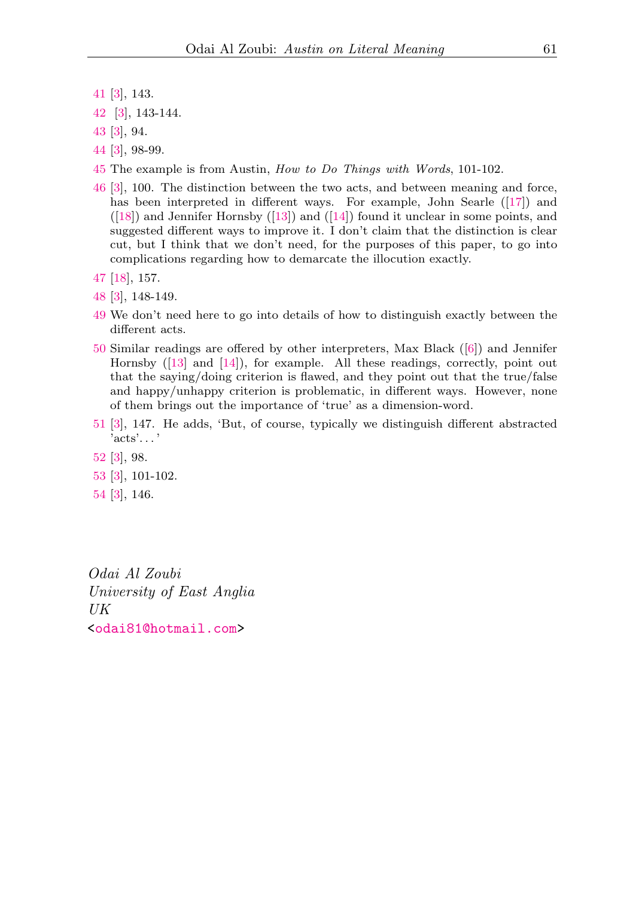- <span id="page-20-0"></span>[41](#page-12-2) [\[3\]](#page-21-3), 143.
- <span id="page-20-1"></span>[42](#page-12-3) [\[3\]](#page-21-3), 143-144.
- <span id="page-20-2"></span>[43](#page-13-1) [\[3\]](#page-21-3), 94.
- <span id="page-20-3"></span>[44](#page-13-2) [\[3\]](#page-21-3), 98-99.
- <span id="page-20-4"></span>[45](#page-13-3) The example is from Austin, How to Do Things with Words, 101-102.
- <span id="page-20-5"></span>[46](#page-13-4) [\[3\]](#page-21-3), 100. The distinction between the two acts, and between meaning and force, has been interpreted in different ways. For example, John Searle ([\[17\]](#page-22-4)) and  $([18])$  $([18])$  $([18])$  and Jennifer Hornsby  $([13])$  $([13])$  $([13])$  and  $([14])$  $([14])$  $([14])$  found it unclear in some points, and suggested different ways to improve it. I don't claim that the distinction is clear cut, but I think that we don't need, for the purposes of this paper, to go into complications regarding how to demarcate the illocution exactly.
- <span id="page-20-6"></span>[47](#page-14-0) [\[18\]](#page-22-5), 157.
- <span id="page-20-7"></span>[48](#page-14-1) [\[3\]](#page-21-3), 148-149.
- <span id="page-20-8"></span>[49](#page-14-2) We don't need here to go into details of how to distinguish exactly between the different acts.
- <span id="page-20-9"></span>[50](#page-14-3) Similar readings are offered by other interpreters, Max Black ([\[6\]](#page-21-8)) and Jennifer Hornsby ([\[13\]](#page-21-6) and [\[14\]](#page-21-7)), for example. All these readings, correctly, point out that the saying/doing criterion is flawed, and they point out that the true/false and happy/unhappy criterion is problematic, in different ways. However, none of them brings out the importance of 'true' as a dimension-word.
- <span id="page-20-10"></span>[51](#page-14-4) [\[3\]](#page-21-3), 147. He adds, 'But, of course, typically we distinguish different abstracted 'acts'. . . '
- <span id="page-20-11"></span>[52](#page-14-5) [\[3\]](#page-21-3), 98.
- <span id="page-20-12"></span>[53](#page-15-0) [\[3\]](#page-21-3), 101-102.
- <span id="page-20-13"></span>[54](#page-15-1) [\[3\]](#page-21-3), 146.

Odai Al Zoubi University of East Anglia UK [<odai81@hotmail.com>](mailto:odai81@hotmail.com)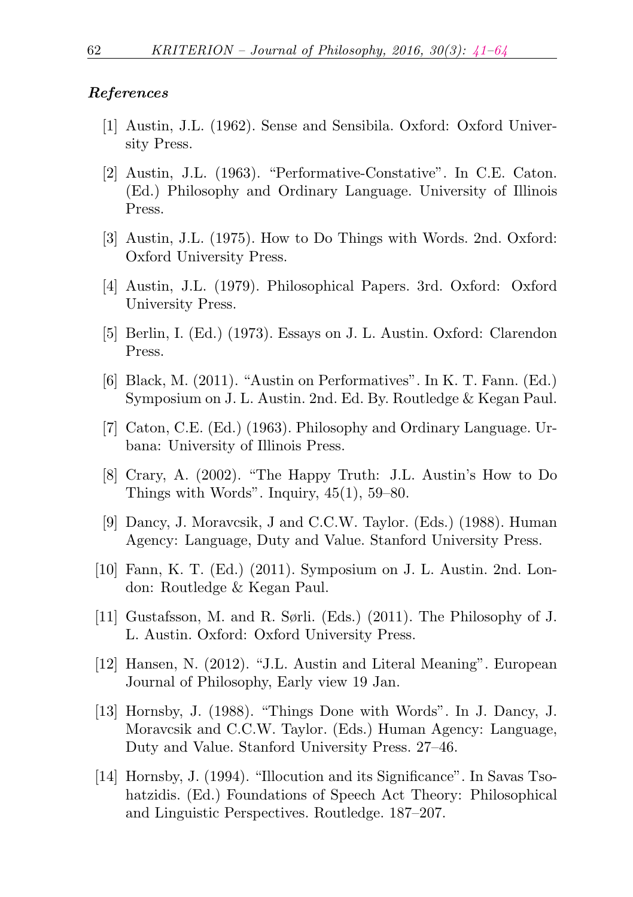#### <span id="page-21-0"></span>References

- <span id="page-21-4"></span>[1] Austin, J.L. (1962). Sense and Sensibila. Oxford: Oxford University Press.
- [2] Austin, J.L. (1963). "Performative-Constative". In C.E. Caton. (Ed.) Philosophy and Ordinary Language. University of Illinois Press.
- <span id="page-21-3"></span>[3] Austin, J.L. (1975). How to Do Things with Words. 2nd. Oxford: Oxford University Press.
- <span id="page-21-5"></span>[4] Austin, J.L. (1979). Philosophical Papers. 3rd. Oxford: Oxford University Press.
- [5] Berlin, I. (Ed.) (1973). Essays on J. L. Austin. Oxford: Clarendon Press.
- <span id="page-21-8"></span>[6] Black, M. (2011). "Austin on Performatives". In K. T. Fann. (Ed.) Symposium on J. L. Austin. 2nd. Ed. By. Routledge & Kegan Paul.
- [7] Caton, C.E. (Ed.) (1963). Philosophy and Ordinary Language. Urbana: University of Illinois Press.
- <span id="page-21-1"></span>[8] Crary, A. (2002). "The Happy Truth: J.L. Austin's How to Do Things with Words". Inquiry, 45(1), 59–80.
- [9] Dancy, J. Moravcsik, J and C.C.W. Taylor. (Eds.) (1988). Human Agency: Language, Duty and Value. Stanford University Press.
- [10] Fann, K. T. (Ed.) (2011). Symposium on J. L. Austin. 2nd. London: Routledge & Kegan Paul.
- [11] Gustafsson, M. and R. Sørli. (Eds.) (2011). The Philosophy of J. L. Austin. Oxford: Oxford University Press.
- <span id="page-21-2"></span>[12] Hansen, N. (2012). "J.L. Austin and Literal Meaning". European Journal of Philosophy, Early view 19 Jan.
- <span id="page-21-6"></span>[13] Hornsby, J. (1988). "Things Done with Words". In J. Dancy, J. Moravcsik and C.C.W. Taylor. (Eds.) Human Agency: Language, Duty and Value. Stanford University Press. 27–46.
- <span id="page-21-7"></span>[14] Hornsby, J. (1994). "Illocution and its Significance". In Savas Tsohatzidis. (Ed.) Foundations of Speech Act Theory: Philosophical and Linguistic Perspectives. Routledge. 187–207.